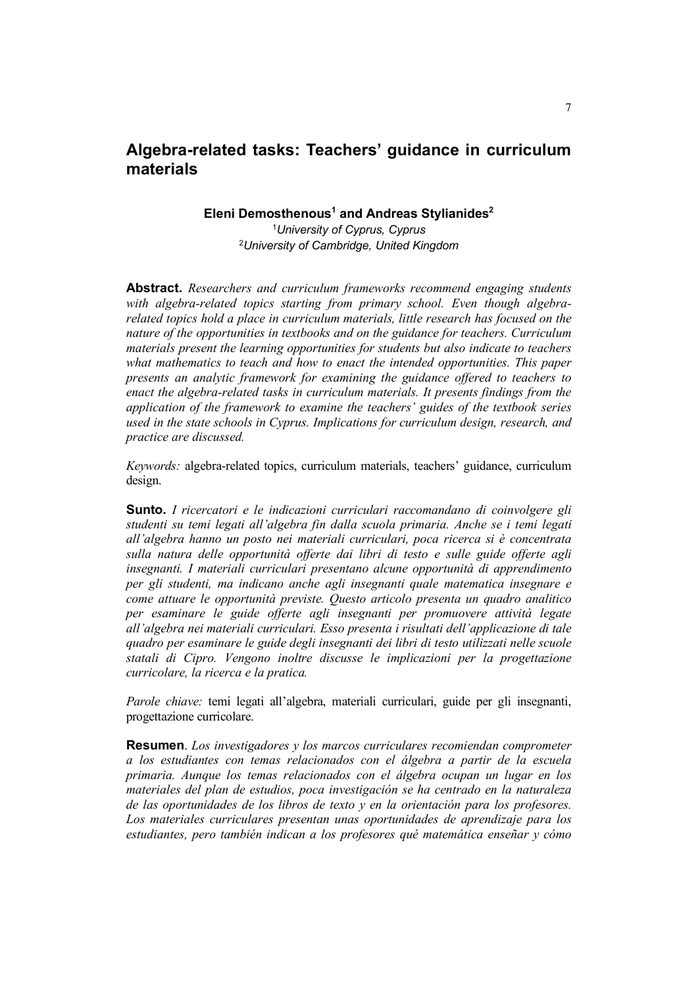# **Algebra-related tasks: Teachers' guidance in curriculum materials**

**Eleni Demosthenous<sup>1</sup> and Andreas Stylianides2**

<sup>1</sup>*University of Cyprus, Cyprus* 2 *University of Cambridge, United Kingdom*

**Abstract.** *Researchers and curriculum frameworks recommend engaging students with algebra-related topics starting from primary school. Even though algebrarelated topics hold a place in curriculum materials, little research has focused on the nature of the opportunities in textbooks and on the guidance for teachers. Curriculum materials present the learning opportunities for students but also indicate to teachers what mathematics to teach and how to enact the intended opportunities. This paper presents an analytic framework for examining the guidance offered to teachers to enact the algebra-related tasks in curriculum materials. It presents findings from the application of the framework to examine the teachers' guides of the textbook series used in the state schools in Cyprus. Implications for curriculum design, research, and practice are discussed.*

*Keywords:* algebra-related topics, curriculum materials, teachers' guidance, curriculum design.

**Sunto.** *I ricercatori e le indicazioni curriculari raccomandano di coinvolgere gli studenti su temi legati all'algebra fin dalla scuola primaria. Anche se i temi legati all'algebra hanno un posto nei materiali curriculari, poca ricerca si è concentrata sulla natura delle opportunità offerte dai libri di testo e sulle guide offerte agli insegnanti. I materiali curriculari presentano alcune opportunità di apprendimento per gli studenti, ma indicano anche agli insegnanti quale matematica insegnare e come attuare le opportunità previste. Questo articolo presenta un quadro analitico per esaminare le guide offerte agli insegnanti per promuovere attività legate all'algebra nei materiali curriculari. Esso presenta i risultati dell'applicazione di tale quadro per esaminare le guide degli insegnanti dei libri di testo utilizzati nelle scuole statali di Cipro. Vengono inoltre discusse le implicazioni per la progettazione curricolare, la ricerca e la pratica.*

*Parole chiave:* temi legati all'algebra, materiali curriculari, guide per gli insegnanti, progettazione curricolare.

**Resumen**. *Los investigadores y los marcos curriculares recomiendan comprometer a los estudiantes con temas relacionados con el álgebra a partir de la escuela primaria. Aunque los temas relacionados con el álgebra ocupan un lugar en los materiales del plan de estudios, poca investigación se ha centrado en la naturaleza de las oportunidades de los libros de texto y en la orientación para los profesores. Los materiales curriculares presentan unas oportunidades de aprendizaje para los estudiantes, pero también indican a los profesores qué matemática enseñar y cómo*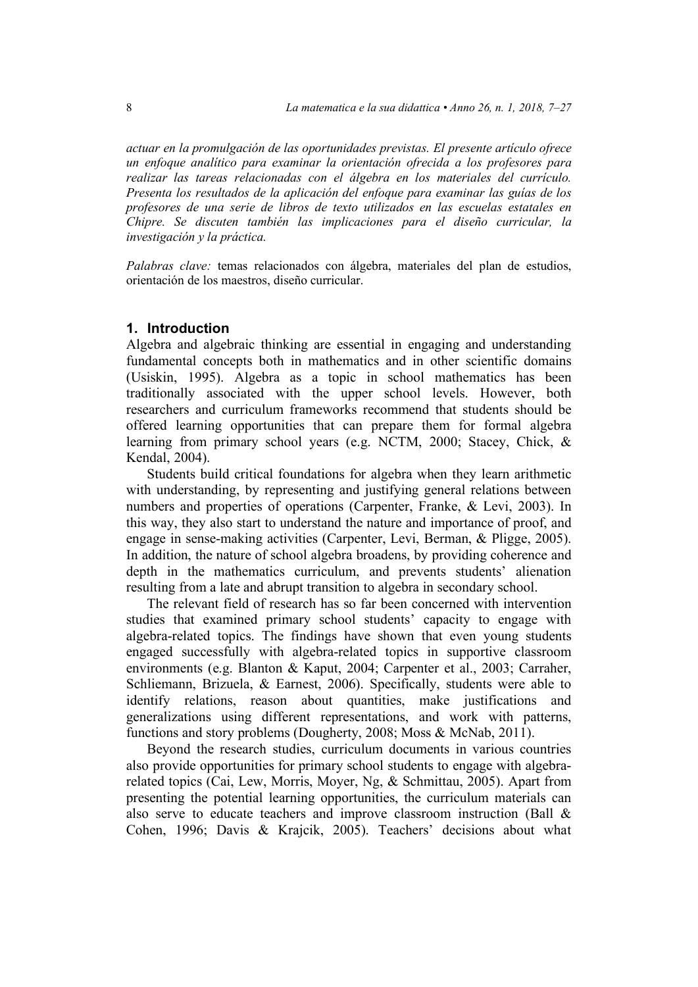*actuar en la promulgación de las oportunidades previstas. El presente artículo ofrece un enfoque analítico para examinar la orientación ofrecida a los profesores para realizar las tareas relacionadas con el álgebra en los materiales del currículo. Presenta los resultados de la aplicación del enfoque para examinar las guías de los profesores de una serie de libros de texto utilizados en las escuelas estatales en Chipre. Se discuten también las implicaciones para el diseño curricular, la investigación y la práctica.*

*Palabras clave:* temas relacionados con álgebra, materiales del plan de estudios, orientación de los maestros, diseño curricular.

#### **1. Introduction**

Algebra and algebraic thinking are essential in engaging and understanding fundamental concepts both in mathematics and in other scientific domains (Usiskin, 1995). Algebra as a topic in school mathematics has been traditionally associated with the upper school levels. However, both researchers and curriculum frameworks recommend that students should be offered learning opportunities that can prepare them for formal algebra learning from primary school years (e.g. NCTM, 2000; Stacey, Chick, & Kendal, 2004).

Students build critical foundations for algebra when they learn arithmetic with understanding, by representing and justifying general relations between numbers and properties of operations (Carpenter, Franke, & Levi, 2003). In this way, they also start to understand the nature and importance of proof, and engage in sense-making activities (Carpenter, Levi, Berman, & Pligge, 2005). In addition, the nature of school algebra broadens, by providing coherence and depth in the mathematics curriculum, and prevents students' alienation resulting from a late and abrupt transition to algebra in secondary school.

The relevant field of research has so far been concerned with intervention studies that examined primary school students' capacity to engage with algebra-related topics. The findings have shown that even young students engaged successfully with algebra-related topics in supportive classroom environments (e.g. Blanton & Kaput, 2004; Carpenter et al., 2003; Carraher, Schliemann, Brizuela, & Earnest, 2006). Specifically, students were able to identify relations, reason about quantities, make justifications and generalizations using different representations, and work with patterns, functions and story problems (Dougherty, 2008; Moss & McNab, 2011).

Beyond the research studies, curriculum documents in various countries also provide opportunities for primary school students to engage with algebrarelated topics (Cai, Lew, Morris, Moyer, Ng, & Schmittau, 2005). Apart from presenting the potential learning opportunities, the curriculum materials can also serve to educate teachers and improve classroom instruction (Ball  $\&$ Cohen, 1996; Davis & Krajcik, 2005). Teachers' decisions about what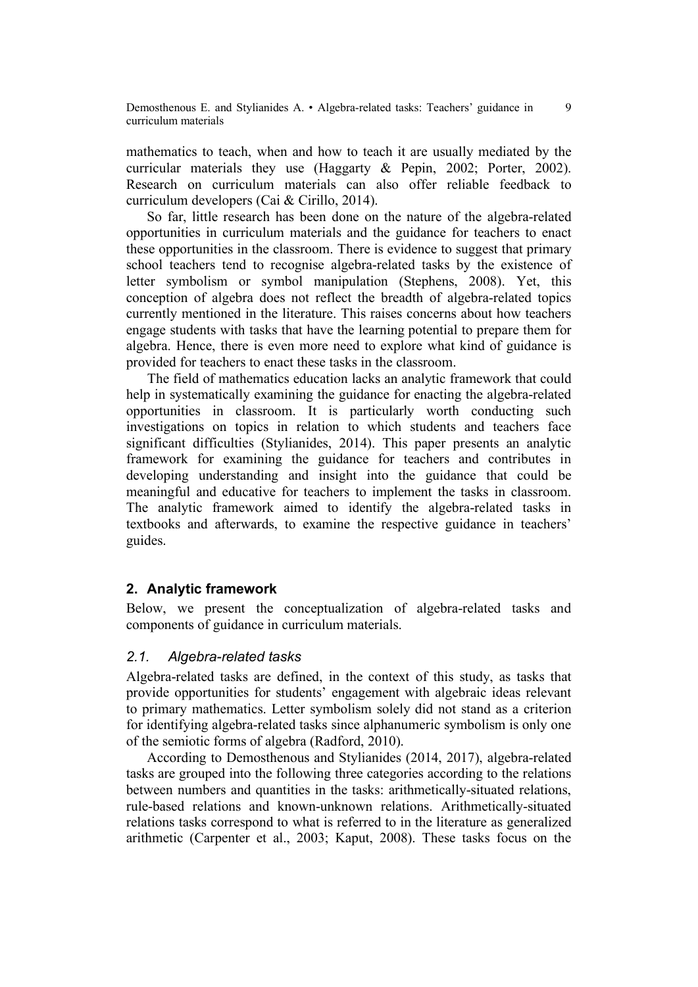mathematics to teach, when and how to teach it are usually mediated by the curricular materials they use (Haggarty & Pepin, 2002; Porter, 2002). Research on curriculum materials can also offer reliable feedback to curriculum developers (Cai & Cirillo, 2014).

So far, little research has been done on the nature of the algebra-related opportunities in curriculum materials and the guidance for teachers to enact these opportunities in the classroom. There is evidence to suggest that primary school teachers tend to recognise algebra-related tasks by the existence of letter symbolism or symbol manipulation (Stephens, 2008). Yet, this conception of algebra does not reflect the breadth of algebra-related topics currently mentioned in the literature. This raises concerns about how teachers engage students with tasks that have the learning potential to prepare them for algebra. Hence, there is even more need to explore what kind of guidance is provided for teachers to enact these tasks in the classroom.

The field of mathematics education lacks an analytic framework that could help in systematically examining the guidance for enacting the algebra-related opportunities in classroom. It is particularly worth conducting such investigations on topics in relation to which students and teachers face significant difficulties (Stylianides, 2014). This paper presents an analytic framework for examining the guidance for teachers and contributes in developing understanding and insight into the guidance that could be meaningful and educative for teachers to implement the tasks in classroom. The analytic framework aimed to identify the algebra-related tasks in textbooks and afterwards, to examine the respective guidance in teachers' guides.

# **2. Analytic framework**

Below, we present the conceptualization of algebra-related tasks and components of guidance in curriculum materials.

## *2.1. Algebra-related tasks*

Algebra-related tasks are defined, in the context of this study, as tasks that provide opportunities for students' engagement with algebraic ideas relevant to primary mathematics. Letter symbolism solely did not stand as a criterion for identifying algebra-related tasks since alphanumeric symbolism is only one of the semiotic forms of algebra (Radford, 2010).

According to Demosthenous and Stylianides (2014, 2017), algebra-related tasks are grouped into the following three categories according to the relations between numbers and quantities in the tasks: arithmetically-situated relations, rule-based relations and known-unknown relations. Arithmetically-situated relations tasks correspond to what is referred to in the literature as generalized arithmetic (Carpenter et al., 2003; Kaput, 2008). These tasks focus on the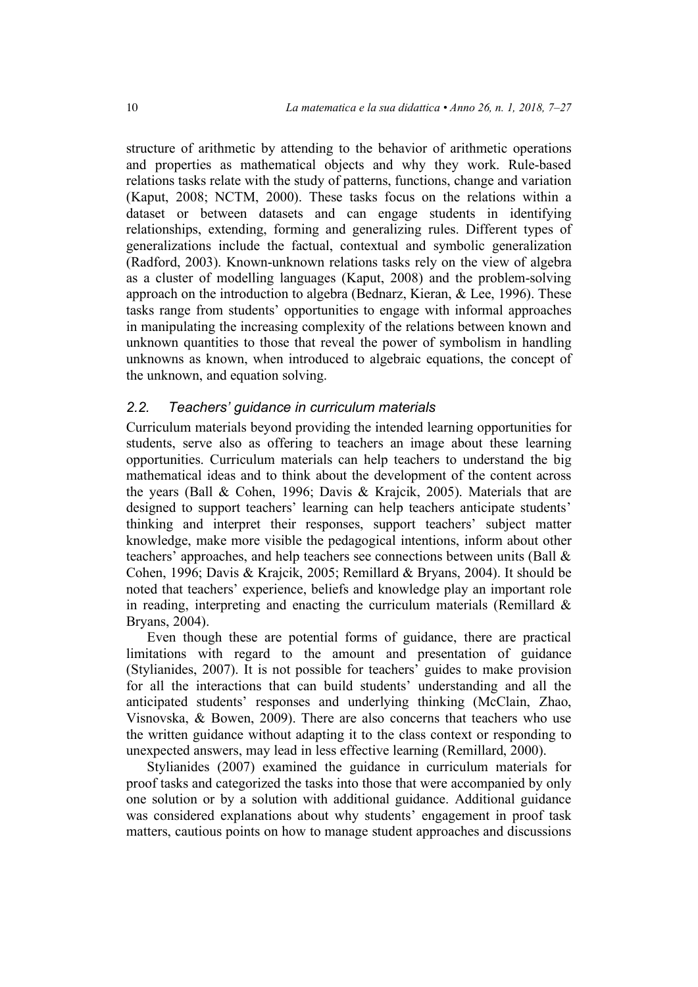structure of arithmetic by attending to the behavior of arithmetic operations and properties as mathematical objects and why they work. Rule-based relations tasks relate with the study of patterns, functions, change and variation (Kaput, 2008; NCTM, 2000). These tasks focus on the relations within a dataset or between datasets and can engage students in identifying relationships, extending, forming and generalizing rules. Different types of generalizations include the factual, contextual and symbolic generalization (Radford, 2003). Known-unknown relations tasks rely on the view of algebra as a cluster of modelling languages (Kaput, 2008) and the problem-solving approach on the introduction to algebra (Bednarz, Kieran, & Lee, 1996). These tasks range from students' opportunities to engage with informal approaches in manipulating the increasing complexity of the relations between known and unknown quantities to those that reveal the power of symbolism in handling unknowns as known, when introduced to algebraic equations, the concept of the unknown, and equation solving.

# *2.2. Teachers' guidance in curriculum materials*

Curriculum materials beyond providing the intended learning opportunities for students, serve also as offering to teachers an image about these learning opportunities. Curriculum materials can help teachers to understand the big mathematical ideas and to think about the development of the content across the years (Ball & Cohen, 1996; Davis & Krajcik, 2005). Materials that are designed to support teachers' learning can help teachers anticipate students' thinking and interpret their responses, support teachers' subject matter knowledge, make more visible the pedagogical intentions, inform about other teachers' approaches, and help teachers see connections between units (Ball & Cohen, 1996; Davis & Krajcik, 2005; Remillard & Bryans, 2004). It should be noted that teachers' experience, beliefs and knowledge play an important role in reading, interpreting and enacting the curriculum materials (Remillard  $\&$ Bryans, 2004).

Even though these are potential forms of guidance, there are practical limitations with regard to the amount and presentation of guidance (Stylianides, 2007). It is not possible for teachers' guides to make provision for all the interactions that can build students' understanding and all the anticipated students' responses and underlying thinking (McClain, Zhao, Visnovska, & Bowen, 2009). There are also concerns that teachers who use the written guidance without adapting it to the class context or responding to unexpected answers, may lead in less effective learning (Remillard, 2000).

Stylianides (2007) examined the guidance in curriculum materials for proof tasks and categorized the tasks into those that were accompanied by only one solution or by a solution with additional guidance. Additional guidance was considered explanations about why students' engagement in proof task matters, cautious points on how to manage student approaches and discussions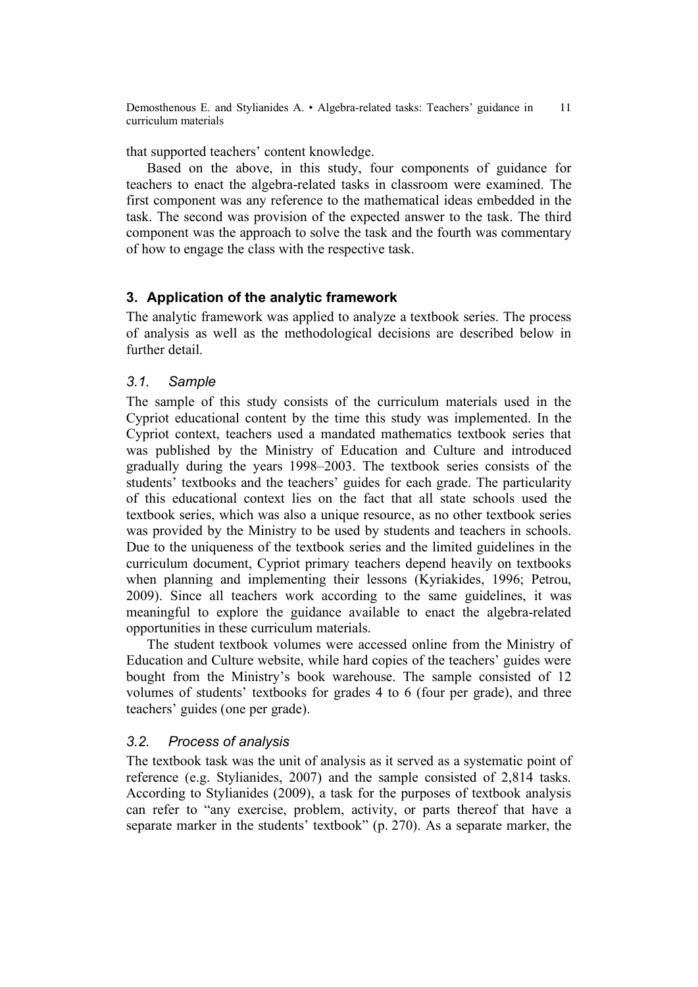that supported teachers' content knowledge.

Based on the above, in this study, four components of guidance for teachers to enact the algebra-related tasks in classroom were examined. The first component was any reference to the mathematical ideas embedded in the task. The second was provision of the expected answer to the task. The third component was the approach to solve the task and the fourth was commentary of how to engage the class with the respective task.

# **3. Application of the analytic framework**

The analytic framework was applied to analyze a textbook series. The process of analysis as well as the methodological decisions are described below in further detail.

## *3.1. Sample*

The sample of this study consists of the curriculum materials used in the Cypriot educational content by the time this study was implemented. In the Cypriot context, teachers used a mandated mathematics textbook series that was published by the Ministry of Education and Culture and introduced gradually during the years 1998–2003. The textbook series consists of the students' textbooks and the teachers' guides for each grade. The particularity of this educational context lies on the fact that all state schools used the textbook series, which was also a unique resource, as no other textbook series was provided by the Ministry to be used by students and teachers in schools. Due to the uniqueness of the textbook series and the limited guidelines in the curriculum document, Cypriot primary teachers depend heavily on textbooks when planning and implementing their lessons (Kyriakides, 1996; Petrou, 2009). Since all teachers work according to the same guidelines, it was meaningful to explore the guidance available to enact the algebra-related opportunities in these curriculum materials.

The student textbook volumes were accessed online from the Ministry of Education and Culture website, while hard copies of the teachers' guides were bought from the Ministry's book warehouse. The sample consisted of 12 volumes of students' textbooks for grades 4 to 6 (four per grade), and three teachers' guides (one per grade).

## *3.2. Process of analysis*

The textbook task was the unit of analysis as it served as a systematic point of reference (e.g. Stylianides, 2007) and the sample consisted of 2,814 tasks. According to Stylianides (2009), a task for the purposes of textbook analysis can refer to "any exercise, problem, activity, or parts thereof that have a separate marker in the students' textbook" (p. 270). As a separate marker, the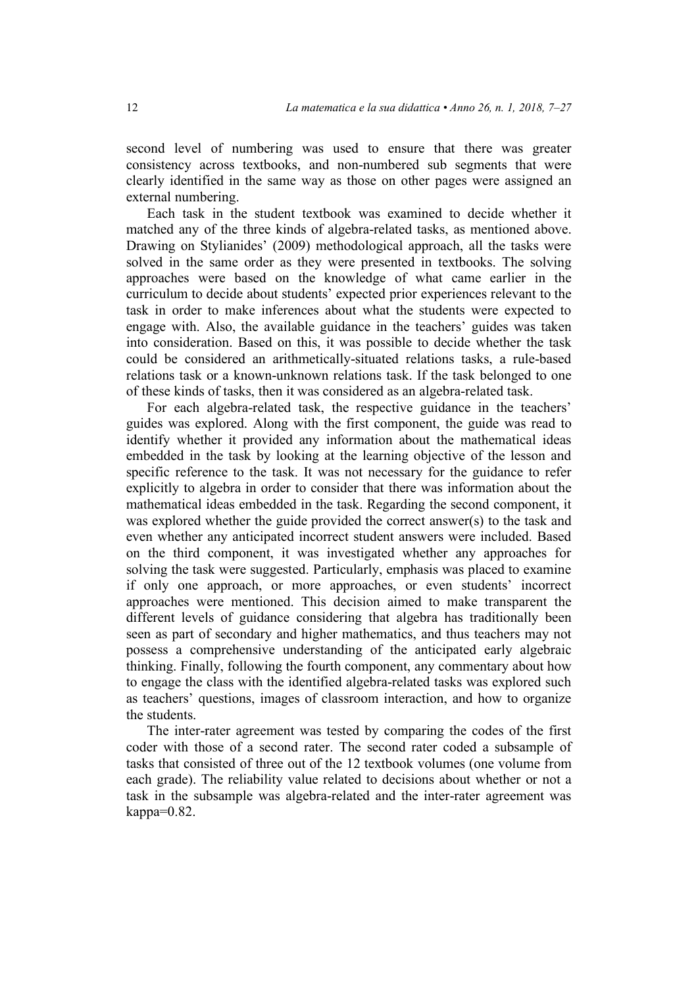second level of numbering was used to ensure that there was greater consistency across textbooks, and non-numbered sub segments that were clearly identified in the same way as those on other pages were assigned an external numbering.

Each task in the student textbook was examined to decide whether it matched any of the three kinds of algebra-related tasks, as mentioned above. Drawing on Stylianides' (2009) methodological approach, all the tasks were solved in the same order as they were presented in textbooks. The solving approaches were based on the knowledge of what came earlier in the curriculum to decide about students' expected prior experiences relevant to the task in order to make inferences about what the students were expected to engage with. Also, the available guidance in the teachers' guides was taken into consideration. Based on this, it was possible to decide whether the task could be considered an arithmetically-situated relations tasks, a rule-based relations task or a known-unknown relations task. If the task belonged to one of these kinds of tasks, then it was considered as an algebra-related task.

For each algebra-related task, the respective guidance in the teachers' guides was explored. Along with the first component, the guide was read to identify whether it provided any information about the mathematical ideas embedded in the task by looking at the learning objective of the lesson and specific reference to the task. It was not necessary for the guidance to refer explicitly to algebra in order to consider that there was information about the mathematical ideas embedded in the task. Regarding the second component, it was explored whether the guide provided the correct answer(s) to the task and even whether any anticipated incorrect student answers were included. Based on the third component, it was investigated whether any approaches for solving the task were suggested. Particularly, emphasis was placed to examine if only one approach, or more approaches, or even students' incorrect approaches were mentioned. This decision aimed to make transparent the different levels of guidance considering that algebra has traditionally been seen as part of secondary and higher mathematics, and thus teachers may not possess a comprehensive understanding of the anticipated early algebraic thinking. Finally, following the fourth component, any commentary about how to engage the class with the identified algebra-related tasks was explored such as teachers' questions, images of classroom interaction, and how to organize the students.

The inter-rater agreement was tested by comparing the codes of the first coder with those of a second rater. The second rater coded a subsample of tasks that consisted of three out of the 12 textbook volumes (one volume from each grade). The reliability value related to decisions about whether or not a task in the subsample was algebra-related and the inter-rater agreement was kappa=0.82.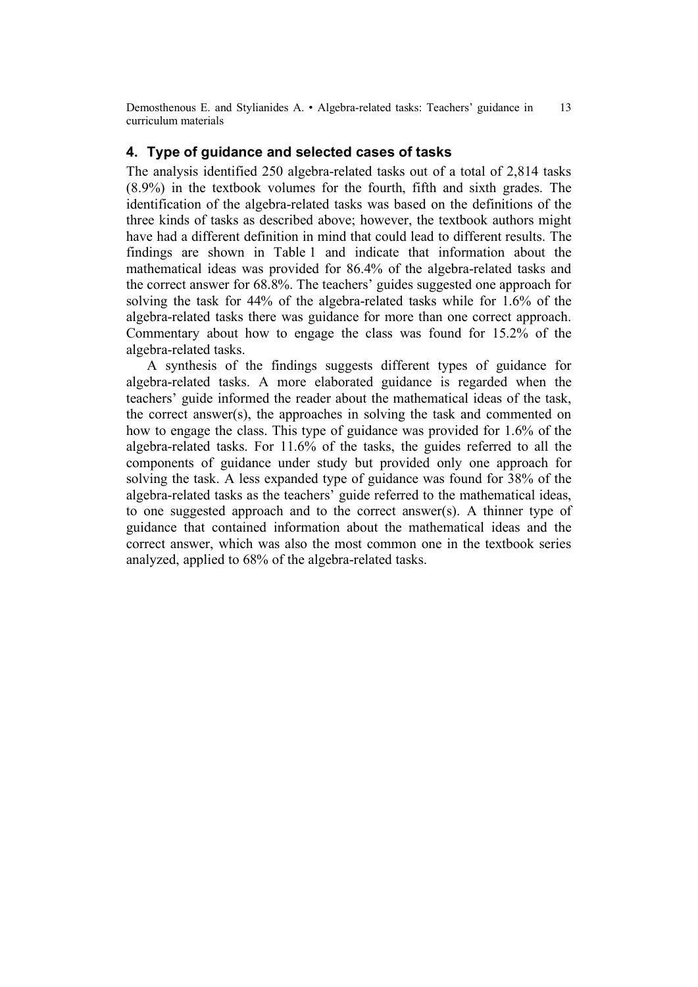# **4. Type of guidance and selected cases of tasks**

The analysis identified 250 algebra-related tasks out of a total of 2,814 tasks (8.9%) in the textbook volumes for the fourth, fifth and sixth grades. The identification of the algebra-related tasks was based on the definitions of the three kinds of tasks as described above; however, the textbook authors might have had a different definition in mind that could lead to different results. The findings are shown in Table 1 and indicate that information about the mathematical ideas was provided for 86.4% of the algebra-related tasks and the correct answer for 68.8%. The teachers' guides suggested one approach for solving the task for 44% of the algebra-related tasks while for 1.6% of the algebra-related tasks there was guidance for more than one correct approach. Commentary about how to engage the class was found for 15.2% of the algebra-related tasks.

A synthesis of the findings suggests different types of guidance for algebra-related tasks. A more elaborated guidance is regarded when the teachers' guide informed the reader about the mathematical ideas of the task, the correct answer(s), the approaches in solving the task and commented on how to engage the class. This type of guidance was provided for 1.6% of the algebra-related tasks. For 11.6% of the tasks, the guides referred to all the components of guidance under study but provided only one approach for solving the task. A less expanded type of guidance was found for 38% of the algebra-related tasks as the teachers' guide referred to the mathematical ideas, to one suggested approach and to the correct answer(s). A thinner type of guidance that contained information about the mathematical ideas and the correct answer, which was also the most common one in the textbook series analyzed, applied to 68% of the algebra-related tasks.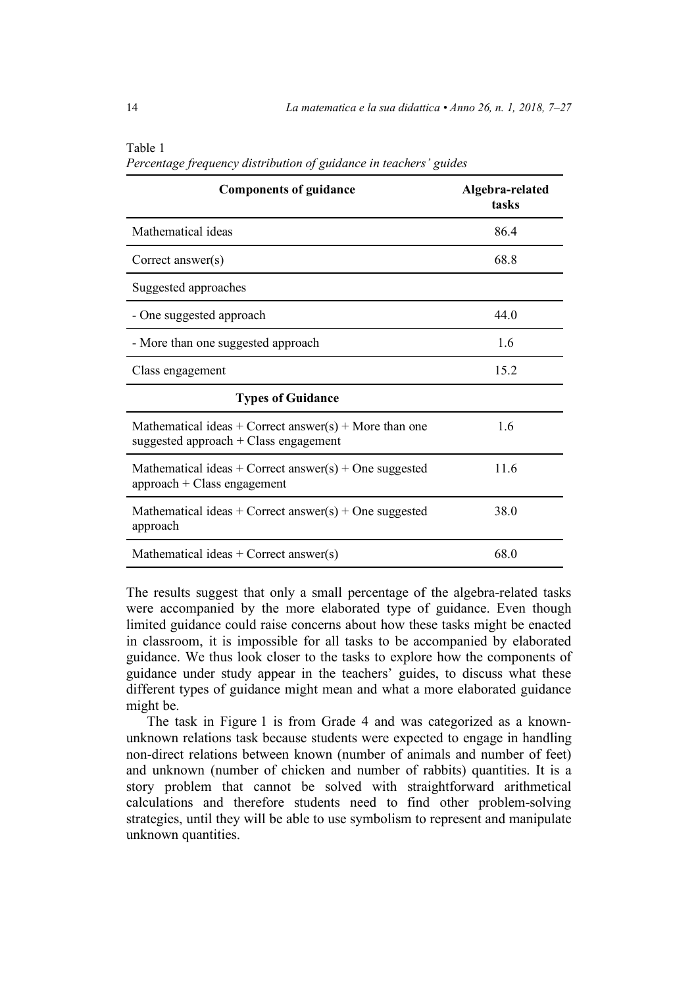| <b>Components of guidance</b>                                                                     | Algebra-related<br>tasks |
|---------------------------------------------------------------------------------------------------|--------------------------|
| Mathematical ideas                                                                                | 86.4                     |
| Correct answer $(s)$                                                                              | 68.8                     |
| Suggested approaches                                                                              |                          |
| - One suggested approach                                                                          | 44.0                     |
| - More than one suggested approach                                                                | 1.6                      |
| Class engagement                                                                                  | 15.2                     |
| <b>Types of Guidance</b>                                                                          |                          |
| Mathematical ideas + Correct answer(s) + More than one<br>suggested approach $+$ Class engagement | 1.6                      |
| Mathematical ideas + Correct answer(s) + One suggested<br>$approach + Class engagement$           | 11.6                     |
| Mathematical ideas + Correct answer(s) + One suggested<br>approach                                | 38.0                     |
| Mathematical ideas + Correct answer(s)                                                            | 68.0                     |

Table 1 *Percentage frequency distribution of guidance in teachers' guides*

The results suggest that only a small percentage of the algebra-related tasks were accompanied by the more elaborated type of guidance. Even though limited guidance could raise concerns about how these tasks might be enacted in classroom, it is impossible for all tasks to be accompanied by elaborated guidance. We thus look closer to the tasks to explore how the components of guidance under study appear in the teachers' guides, to discuss what these different types of guidance might mean and what a more elaborated guidance might be.

The task in Figure 1 is from Grade 4 and was categorized as a knownunknown relations task because students were expected to engage in handling non-direct relations between known (number of animals and number of feet) and unknown (number of chicken and number of rabbits) quantities. It is a story problem that cannot be solved with straightforward arithmetical calculations and therefore students need to find other problem-solving strategies, until they will be able to use symbolism to represent and manipulate unknown quantities.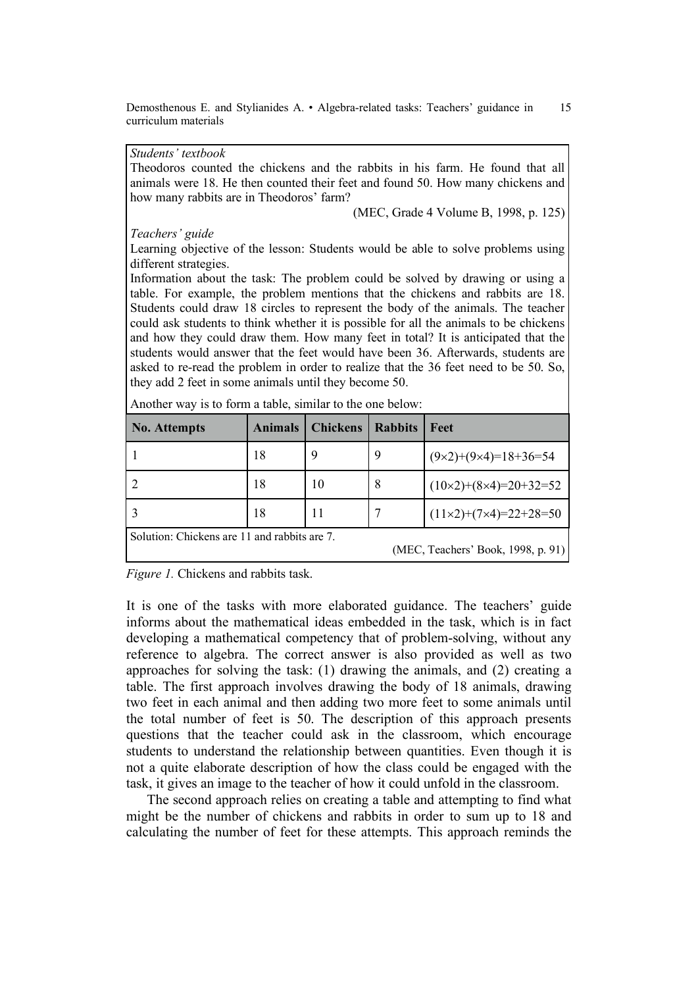#### *Students' textbook*

Theodoros counted the chickens and the rabbits in his farm. He found that all animals were 18. He then counted their feet and found 50. How many chickens and how many rabbits are in Theodoros' farm?

(MEC, Grade 4 Volume B, 1998, p. 125)

*Teachers' guide*

Learning objective of the lesson: Students would be able to solve problems using different strategies.

Information about the task: The problem could be solved by drawing or using a table. For example, the problem mentions that the chickens and rabbits are 18. Students could draw 18 circles to represent the body of the animals. The teacher could ask students to think whether it is possible for all the animals to be chickens and how they could draw them. How many feet in total? It is anticipated that the students would answer that the feet would have been 36. Afterwards, students are asked to re-read the problem in order to realize that the 36 feet need to be 50. So, they add 2 feet in some animals until they become 50.

| No. Attempts                                 | <b>Animals</b> | <b>Chickens</b> | <b>Rabbits</b> | Feet                              |
|----------------------------------------------|----------------|-----------------|----------------|-----------------------------------|
|                                              | 18             | 9               | 9              | $(9\times2)+(9\times4)=18+36=54$  |
|                                              | 18             | 10              | 8              | $(10\times2)+(8\times4)=20+32=52$ |
|                                              | 18             | 11              |                | $(11\times2)+(7\times4)=22+28=50$ |
| Solution: Chickens are 11 and rabbits are 7. |                |                 |                |                                   |
| (MEC, Teachers' Book, 1998, p. 91)           |                |                 |                |                                   |

Another way is to form a table, similar to the one below:

*Figure 1.* Chickens and rabbits task.

It is one of the tasks with more elaborated guidance. The teachers' guide informs about the mathematical ideas embedded in the task, which is in fact developing a mathematical competency that of problem-solving, without any reference to algebra. The correct answer is also provided as well as two approaches for solving the task: (1) drawing the animals, and (2) creating a table. The first approach involves drawing the body of 18 animals, drawing two feet in each animal and then adding two more feet to some animals until the total number of feet is 50. The description of this approach presents questions that the teacher could ask in the classroom, which encourage students to understand the relationship between quantities. Even though it is not a quite elaborate description of how the class could be engaged with the task, it gives an image to the teacher of how it could unfold in the classroom.

The second approach relies on creating a table and attempting to find what might be the number of chickens and rabbits in order to sum up to 18 and calculating the number of feet for these attempts. This approach reminds the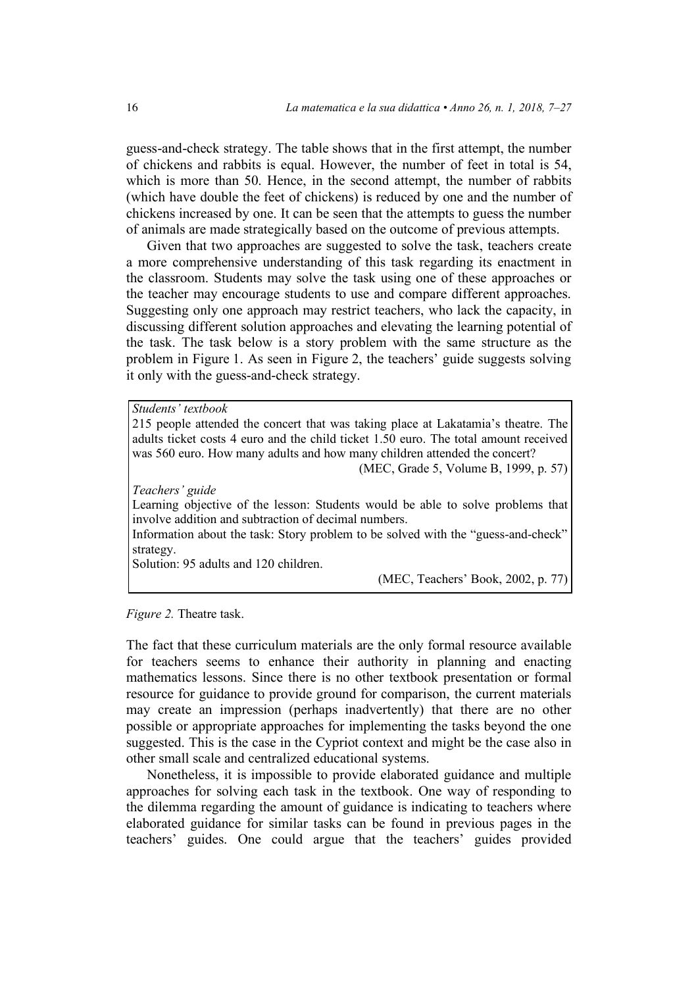guess-and-check strategy. The table shows that in the first attempt, the number of chickens and rabbits is equal. However, the number of feet in total is 54, which is more than 50. Hence, in the second attempt, the number of rabbits (which have double the feet of chickens) is reduced by one and the number of chickens increased by one. It can be seen that the attempts to guess the number of animals are made strategically based on the outcome of previous attempts.

Given that two approaches are suggested to solve the task, teachers create a more comprehensive understanding of this task regarding its enactment in the classroom. Students may solve the task using one of these approaches or the teacher may encourage students to use and compare different approaches. Suggesting only one approach may restrict teachers, who lack the capacity, in discussing different solution approaches and elevating the learning potential of the task. The task below is a story problem with the same structure as the problem in Figure 1. As seen in Figure 2, the teachers' guide suggests solving it only with the guess-and-check strategy.

*Students' textbook*

215 people attended the concert that was taking place at Lakatamia's theatre. The adults ticket costs 4 euro and the child ticket 1.50 euro. The total amount received was 560 euro. How many adults and how many children attended the concert?

(MEC, Grade 5, Volume B, 1999, p. 57)

*Teachers' guide*

Learning objective of the lesson: Students would be able to solve problems that involve addition and subtraction of decimal numbers.

Information about the task: Story problem to be solved with the "guess-and-check" strategy.

Solution: 95 adults and 120 children.

(MEC, Teachers' Book, 2002, p. 77)

*Figure 2.* Theatre task.

The fact that these curriculum materials are the only formal resource available for teachers seems to enhance their authority in planning and enacting mathematics lessons. Since there is no other textbook presentation or formal resource for guidance to provide ground for comparison, the current materials may create an impression (perhaps inadvertently) that there are no other possible or appropriate approaches for implementing the tasks beyond the one suggested. This is the case in the Cypriot context and might be the case also in other small scale and centralized educational systems.

Nonetheless, it is impossible to provide elaborated guidance and multiple approaches for solving each task in the textbook. One way of responding to the dilemma regarding the amount of guidance is indicating to teachers where elaborated guidance for similar tasks can be found in previous pages in the teachers' guides. One could argue that the teachers' guides provided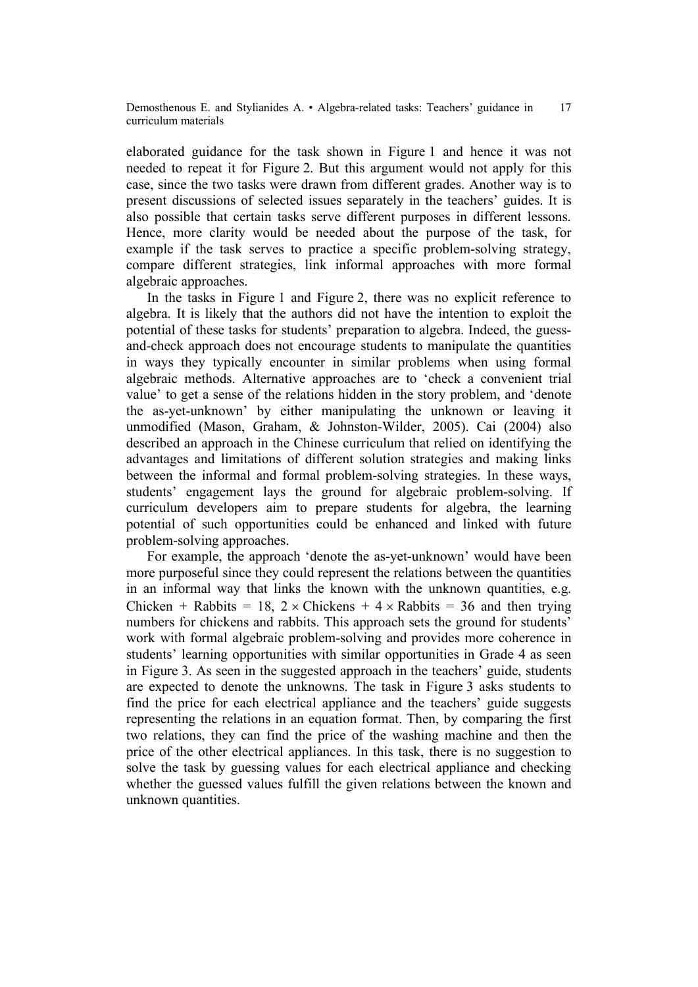elaborated guidance for the task shown in Figure 1 and hence it was not needed to repeat it for Figure 2. But this argument would not apply for this case, since the two tasks were drawn from different grades. Another way is to present discussions of selected issues separately in the teachers' guides. It is also possible that certain tasks serve different purposes in different lessons. Hence, more clarity would be needed about the purpose of the task, for example if the task serves to practice a specific problem-solving strategy, compare different strategies, link informal approaches with more formal algebraic approaches.

In the tasks in Figure 1 and Figure 2, there was no explicit reference to algebra. It is likely that the authors did not have the intention to exploit the potential of these tasks for students' preparation to algebra. Indeed, the guessand-check approach does not encourage students to manipulate the quantities in ways they typically encounter in similar problems when using formal algebraic methods. Alternative approaches are to 'check a convenient trial value' to get a sense of the relations hidden in the story problem, and 'denote the as-yet-unknown' by either manipulating the unknown or leaving it unmodified (Mason, Graham, & Johnston-Wilder, 2005). Cai (2004) also described an approach in the Chinese curriculum that relied on identifying the advantages and limitations of different solution strategies and making links between the informal and formal problem-solving strategies. In these ways, students' engagement lays the ground for algebraic problem-solving. If curriculum developers aim to prepare students for algebra, the learning potential of such opportunities could be enhanced and linked with future problem-solving approaches.

For example, the approach 'denote the as-yet-unknown' would have been more purposeful since they could represent the relations between the quantities in an informal way that links the known with the unknown quantities, e.g. Chicken + Rabbits = 18, 2  $\times$  Chickens + 4  $\times$  Rabbits = 36 and then trying numbers for chickens and rabbits. This approach sets the ground for students' work with formal algebraic problem-solving and provides more coherence in students' learning opportunities with similar opportunities in Grade 4 as seen in Figure 3. As seen in the suggested approach in the teachers' guide, students are expected to denote the unknowns. The task in Figure 3 asks students to find the price for each electrical appliance and the teachers' guide suggests representing the relations in an equation format. Then, by comparing the first two relations, they can find the price of the washing machine and then the price of the other electrical appliances. In this task, there is no suggestion to solve the task by guessing values for each electrical appliance and checking whether the guessed values fulfill the given relations between the known and unknown quantities.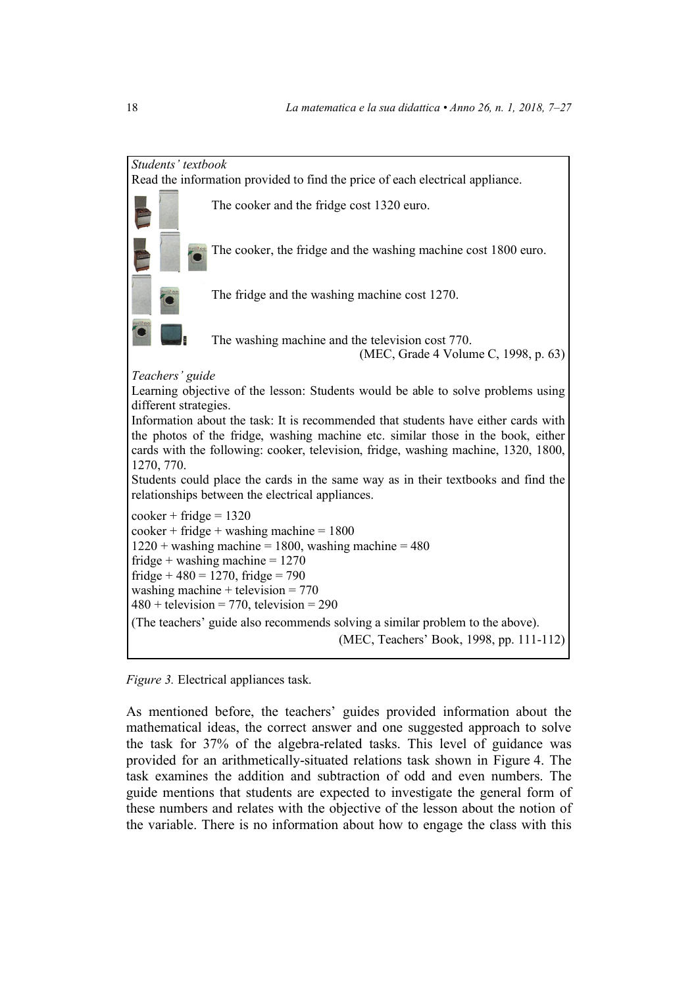

*Figure 3.* Electrical appliances task.

As mentioned before, the teachers' guides provided information about the mathematical ideas, the correct answer and one suggested approach to solve the task for 37% of the algebra-related tasks. This level of guidance was provided for an arithmetically-situated relations task shown in Figure 4. The task examines the addition and subtraction of odd and even numbers. The guide mentions that students are expected to investigate the general form of these numbers and relates with the objective of the lesson about the notion of the variable. There is no information about how to engage the class with this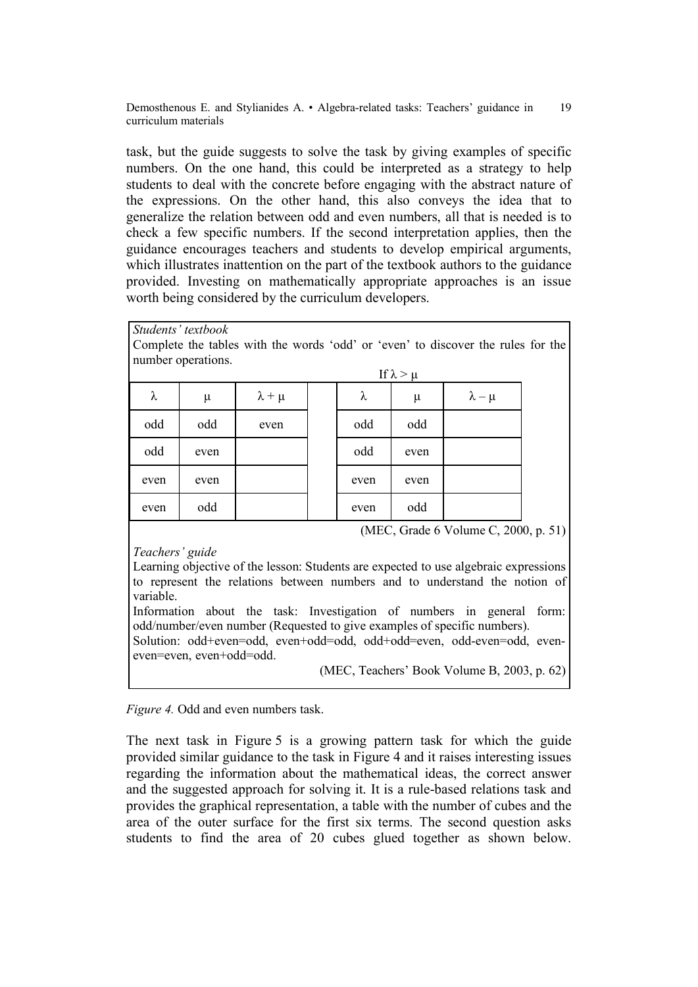task, but the guide suggests to solve the task by giving examples of specific numbers. On the one hand, this could be interpreted as a strategy to help students to deal with the concrete before engaging with the abstract nature of the expressions. On the other hand, this also conveys the idea that to generalize the relation between odd and even numbers, all that is needed is to check a few specific numbers. If the second interpretation applies, then the guidance encourages teachers and students to develop empirical arguments, which illustrates inattention on the part of the textbook authors to the guidance provided. Investing on mathematically appropriate approaches is an issue worth being considered by the curriculum developers.

*Students' textbook*

Complete the tables with the words 'odd' or 'even' to discover the rules for the number operations.

|        |       |                 |           | If $\lambda > \mu$ |                 |
|--------|-------|-----------------|-----------|--------------------|-----------------|
| $\sim$ | $\mu$ | $\lambda + \mu$ | $\lambda$ | $\mu$              | $\lambda - \mu$ |
| odd    | odd   | even            | odd       | odd                |                 |
| odd    | even  |                 | odd       | even               |                 |
| even   | even  |                 | even      | even               |                 |
| even   | odd   |                 | even      | odd                |                 |

(MEC, Grade 6 Volume C, 2000, p. 51)

*Teachers' guide*

Learning objective of the lesson: Students are expected to use algebraic expressions to represent the relations between numbers and to understand the notion of variable.

Information about the task: Investigation of numbers in general form: odd/number/even number (Requested to give examples of specific numbers).

Solution: odd+even=odd, even+odd=odd, odd+odd=even, odd-even=odd, eveneven=even, even+odd=odd.

(MEC, Teachers' Book Volume B, 2003, p. 62)

*Figure 4.* Odd and even numbers task.

The next task in Figure 5 is a growing pattern task for which the guide provided similar guidance to the task in Figure 4 and it raises interesting issues regarding the information about the mathematical ideas, the correct answer and the suggested approach for solving it. It is a rule-based relations task and provides the graphical representation, a table with the number of cubes and the area of the outer surface for the first six terms. The second question asks students to find the area of 20 cubes glued together as shown below.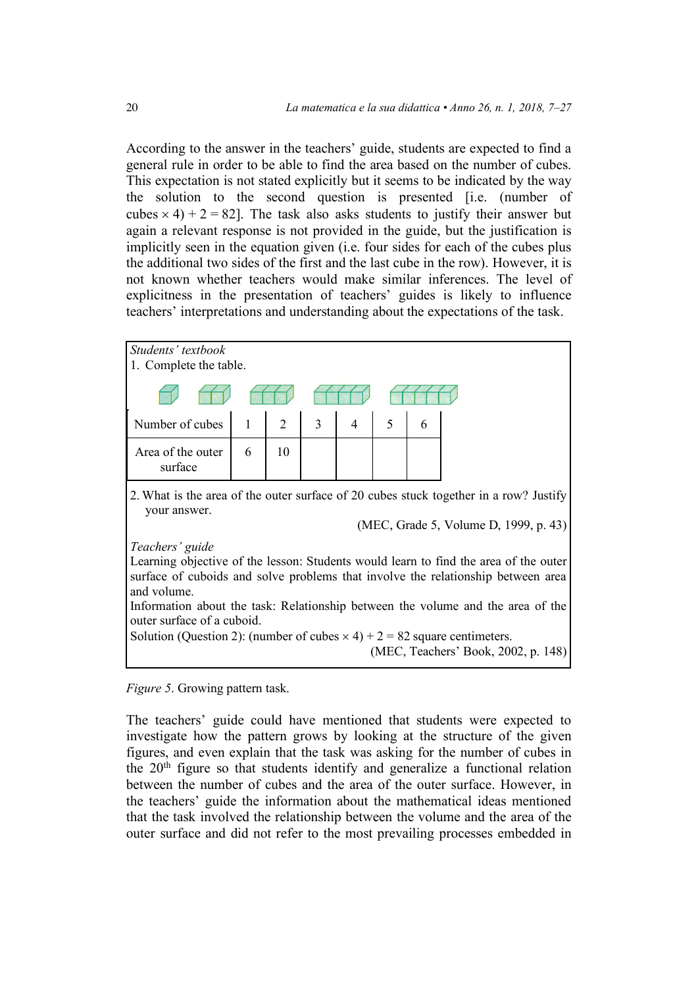According to the answer in the teachers' guide, students are expected to find a general rule in order to be able to find the area based on the number of cubes. This expectation is not stated explicitly but it seems to be indicated by the way the solution to the second question is presented [i.e. (number of cubes  $\times$  4) + 2 = 82]. The task also asks students to justify their answer but again a relevant response is not provided in the guide, but the justification is implicitly seen in the equation given (i.e. four sides for each of the cubes plus the additional two sides of the first and the last cube in the row). However, it is not known whether teachers would make similar inferences. The level of explicitness in the presentation of teachers' guides is likely to influence teachers' interpretations and understanding about the expectations of the task.



*Figure 5*. Growing pattern task.

The teachers' guide could have mentioned that students were expected to investigate how the pattern grows by looking at the structure of the given figures, and even explain that the task was asking for the number of cubes in the 20<sup>th</sup> figure so that students identify and generalize a functional relation between the number of cubes and the area of the outer surface. However, in the teachers' guide the information about the mathematical ideas mentioned that the task involved the relationship between the volume and the area of the outer surface and did not refer to the most prevailing processes embedded in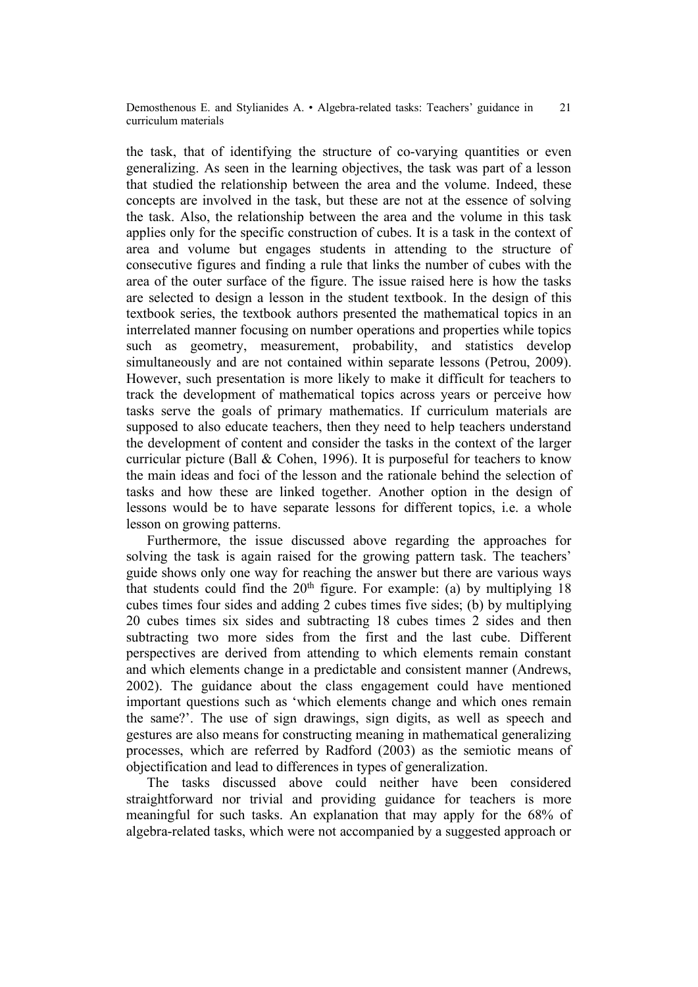the task, that of identifying the structure of co-varying quantities or even generalizing. As seen in the learning objectives, the task was part of a lesson that studied the relationship between the area and the volume. Indeed, these concepts are involved in the task, but these are not at the essence of solving the task. Also, the relationship between the area and the volume in this task applies only for the specific construction of cubes. It is a task in the context of area and volume but engages students in attending to the structure of consecutive figures and finding a rule that links the number of cubes with the area of the outer surface of the figure. The issue raised here is how the tasks are selected to design a lesson in the student textbook. In the design of this textbook series, the textbook authors presented the mathematical topics in an interrelated manner focusing on number operations and properties while topics such as geometry, measurement, probability, and statistics develop simultaneously and are not contained within separate lessons (Petrou, 2009). However, such presentation is more likely to make it difficult for teachers to track the development of mathematical topics across years or perceive how tasks serve the goals of primary mathematics. If curriculum materials are supposed to also educate teachers, then they need to help teachers understand the development of content and consider the tasks in the context of the larger curricular picture (Ball & Cohen, 1996). It is purposeful for teachers to know the main ideas and foci of the lesson and the rationale behind the selection of tasks and how these are linked together. Another option in the design of lessons would be to have separate lessons for different topics, i.e. a whole lesson on growing patterns.

Furthermore, the issue discussed above regarding the approaches for solving the task is again raised for the growing pattern task. The teachers' guide shows only one way for reaching the answer but there are various ways that students could find the  $20<sup>th</sup>$  figure. For example: (a) by multiplying 18 cubes times four sides and adding 2 cubes times five sides; (b) by multiplying 20 cubes times six sides and subtracting 18 cubes times 2 sides and then subtracting two more sides from the first and the last cube. Different perspectives are derived from attending to which elements remain constant and which elements change in a predictable and consistent manner (Andrews, 2002). The guidance about the class engagement could have mentioned important questions such as 'which elements change and which ones remain the same?'. The use of sign drawings, sign digits, as well as speech and gestures are also means for constructing meaning in mathematical generalizing processes, which are referred by Radford (2003) as the semiotic means of objectification and lead to differences in types of generalization.

The tasks discussed above could neither have been considered straightforward nor trivial and providing guidance for teachers is more meaningful for such tasks. An explanation that may apply for the 68% of algebra-related tasks, which were not accompanied by a suggested approach or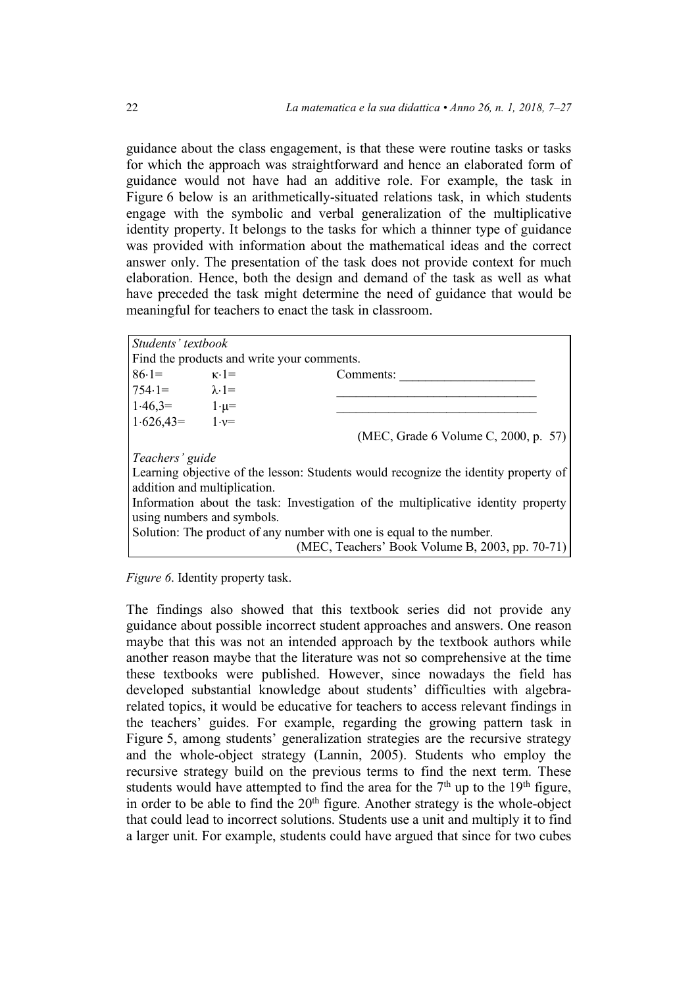guidance about the class engagement, is that these were routine tasks or tasks for which the approach was straightforward and hence an elaborated form of guidance would not have had an additive role. For example, the task in Figure 6 below is an arithmetically-situated relations task, in which students engage with the symbolic and verbal generalization of the multiplicative identity property. It belongs to the tasks for which a thinner type of guidance was provided with information about the mathematical ideas and the correct answer only. The presentation of the task does not provide context for much elaboration. Hence, both the design and demand of the task as well as what have preceded the task might determine the need of guidance that would be meaningful for teachers to enact the task in classroom.

| Students' textbook                                                                                              |  |                                      |  |  |
|-----------------------------------------------------------------------------------------------------------------|--|--------------------------------------|--|--|
| Find the products and write your comments.                                                                      |  |                                      |  |  |
| $86.1 =$ $\kappa.1 =$                                                                                           |  | Comments:                            |  |  |
| $754.1 = \lambda.1 =$                                                                                           |  |                                      |  |  |
| $1.46,3=$ $1.\mu=$                                                                                              |  |                                      |  |  |
| $1.626,43 = 1.62$                                                                                               |  |                                      |  |  |
|                                                                                                                 |  | (MEC, Grade 6 Volume C, 2000, p. 57) |  |  |
| Teachers' guide                                                                                                 |  |                                      |  |  |
| Learning objective of the lesson: Students would recognize the identity property of                             |  |                                      |  |  |
| addition and multiplication.                                                                                    |  |                                      |  |  |
| Information about the task: Investigation of the multiplicative identity property<br>using numbers and symbols. |  |                                      |  |  |
| Solution: The product of any number with one is equal to the number.                                            |  |                                      |  |  |
| (MEC, Teachers' Book Volume B, 2003, pp. 70-71)                                                                 |  |                                      |  |  |

*Figure 6*. Identity property task.

The findings also showed that this textbook series did not provide any guidance about possible incorrect student approaches and answers. One reason maybe that this was not an intended approach by the textbook authors while another reason maybe that the literature was not so comprehensive at the time these textbooks were published. However, since nowadays the field has developed substantial knowledge about students' difficulties with algebrarelated topics, it would be educative for teachers to access relevant findings in the teachers' guides. For example, regarding the growing pattern task in Figure 5, among students' generalization strategies are the recursive strategy and the whole-object strategy (Lannin, 2005). Students who employ the recursive strategy build on the previous terms to find the next term. These students would have attempted to find the area for the  $7<sup>th</sup>$  up to the 19<sup>th</sup> figure, in order to be able to find the  $20<sup>th</sup>$  figure. Another strategy is the whole-object that could lead to incorrect solutions. Students use a unit and multiply it to find a larger unit. For example, students could have argued that since for two cubes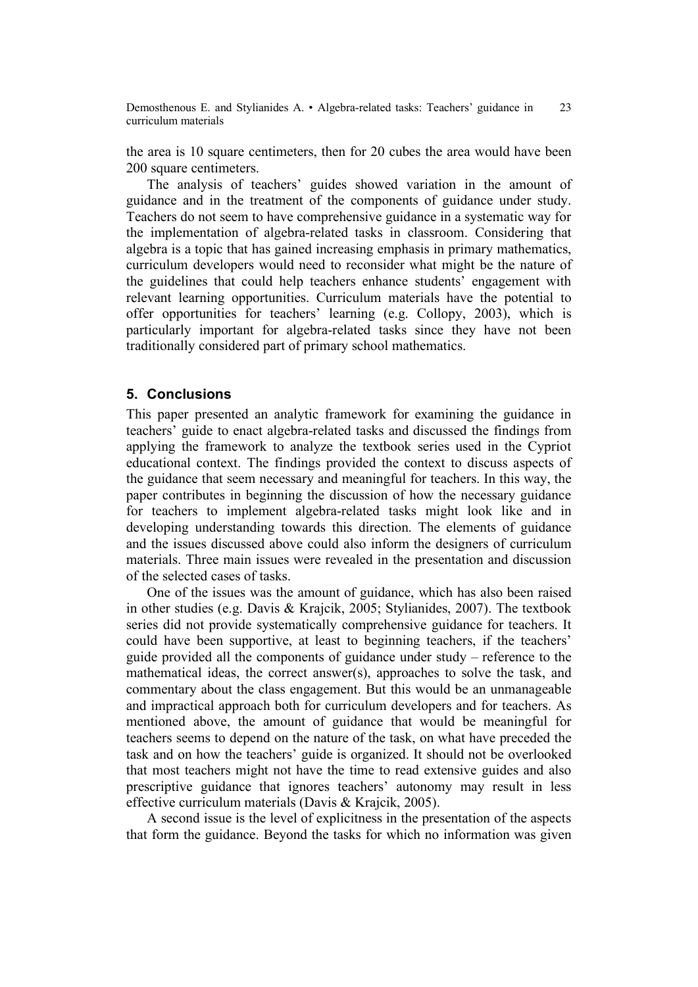the area is 10 square centimeters, then for 20 cubes the area would have been 200 square centimeters.

The analysis of teachers' guides showed variation in the amount of guidance and in the treatment of the components of guidance under study. Teachers do not seem to have comprehensive guidance in a systematic way for the implementation of algebra-related tasks in classroom. Considering that algebra is a topic that has gained increasing emphasis in primary mathematics, curriculum developers would need to reconsider what might be the nature of the guidelines that could help teachers enhance students' engagement with relevant learning opportunities. Curriculum materials have the potential to offer opportunities for teachers' learning (e.g. Collopy, 2003), which is particularly important for algebra-related tasks since they have not been traditionally considered part of primary school mathematics.

## **5. Conclusions**

This paper presented an analytic framework for examining the guidance in teachers' guide to enact algebra-related tasks and discussed the findings from applying the framework to analyze the textbook series used in the Cypriot educational context. The findings provided the context to discuss aspects of the guidance that seem necessary and meaningful for teachers. In this way, the paper contributes in beginning the discussion of how the necessary guidance for teachers to implement algebra-related tasks might look like and in developing understanding towards this direction. The elements of guidance and the issues discussed above could also inform the designers of curriculum materials. Three main issues were revealed in the presentation and discussion of the selected cases of tasks.

One of the issues was the amount of guidance, which has also been raised in other studies (e.g. Davis & Krajcik, 2005; Stylianides, 2007). The textbook series did not provide systematically comprehensive guidance for teachers. It could have been supportive, at least to beginning teachers, if the teachers' guide provided all the components of guidance under study – reference to the mathematical ideas, the correct answer(s), approaches to solve the task, and commentary about the class engagement. But this would be an unmanageable and impractical approach both for curriculum developers and for teachers. As mentioned above, the amount of guidance that would be meaningful for teachers seems to depend on the nature of the task, on what have preceded the task and on how the teachers' guide is organized. It should not be overlooked that most teachers might not have the time to read extensive guides and also prescriptive guidance that ignores teachers' autonomy may result in less effective curriculum materials (Davis & Krajcik, 2005).

A second issue is the level of explicitness in the presentation of the aspects that form the guidance. Beyond the tasks for which no information was given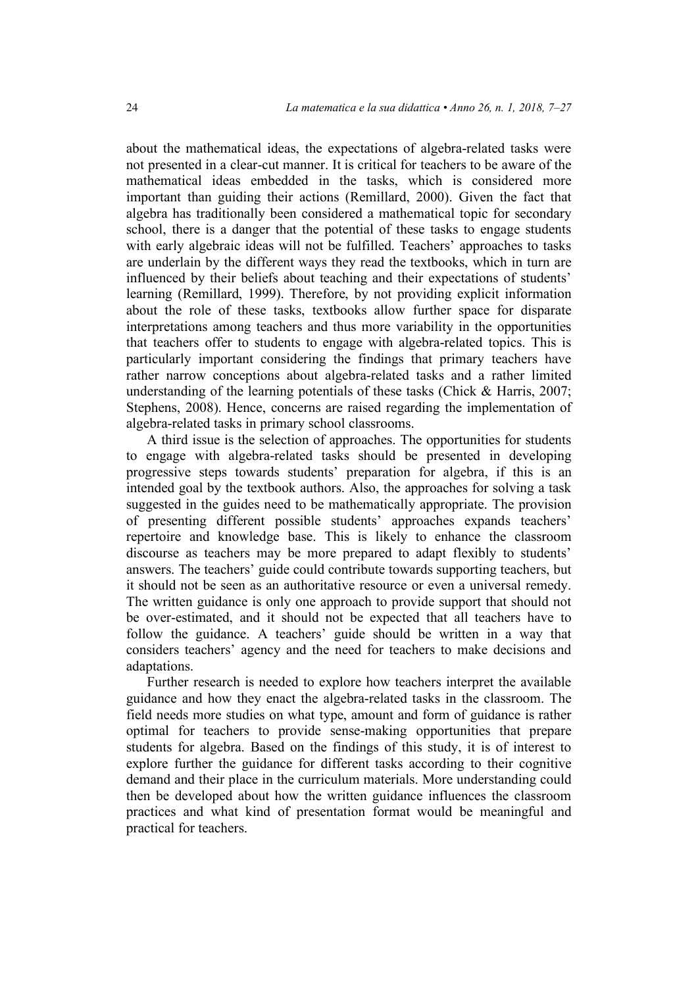about the mathematical ideas, the expectations of algebra-related tasks were not presented in a clear-cut manner. It is critical for teachers to be aware of the mathematical ideas embedded in the tasks, which is considered more important than guiding their actions (Remillard, 2000). Given the fact that algebra has traditionally been considered a mathematical topic for secondary school, there is a danger that the potential of these tasks to engage students with early algebraic ideas will not be fulfilled. Teachers' approaches to tasks are underlain by the different ways they read the textbooks, which in turn are influenced by their beliefs about teaching and their expectations of students' learning (Remillard, 1999). Therefore, by not providing explicit information about the role of these tasks, textbooks allow further space for disparate interpretations among teachers and thus more variability in the opportunities that teachers offer to students to engage with algebra-related topics. This is particularly important considering the findings that primary teachers have rather narrow conceptions about algebra-related tasks and a rather limited understanding of the learning potentials of these tasks (Chick & Harris, 2007; Stephens, 2008). Hence, concerns are raised regarding the implementation of algebra-related tasks in primary school classrooms.

A third issue is the selection of approaches. The opportunities for students to engage with algebra-related tasks should be presented in developing progressive steps towards students' preparation for algebra, if this is an intended goal by the textbook authors. Also, the approaches for solving a task suggested in the guides need to be mathematically appropriate. The provision of presenting different possible students' approaches expands teachers' repertoire and knowledge base. This is likely to enhance the classroom discourse as teachers may be more prepared to adapt flexibly to students' answers. The teachers' guide could contribute towards supporting teachers, but it should not be seen as an authoritative resource or even a universal remedy. The written guidance is only one approach to provide support that should not be over-estimated, and it should not be expected that all teachers have to follow the guidance. A teachers' guide should be written in a way that considers teachers' agency and the need for teachers to make decisions and adaptations.

Further research is needed to explore how teachers interpret the available guidance and how they enact the algebra-related tasks in the classroom. The field needs more studies on what type, amount and form of guidance is rather optimal for teachers to provide sense-making opportunities that prepare students for algebra. Based on the findings of this study, it is of interest to explore further the guidance for different tasks according to their cognitive demand and their place in the curriculum materials. More understanding could then be developed about how the written guidance influences the classroom practices and what kind of presentation format would be meaningful and practical for teachers.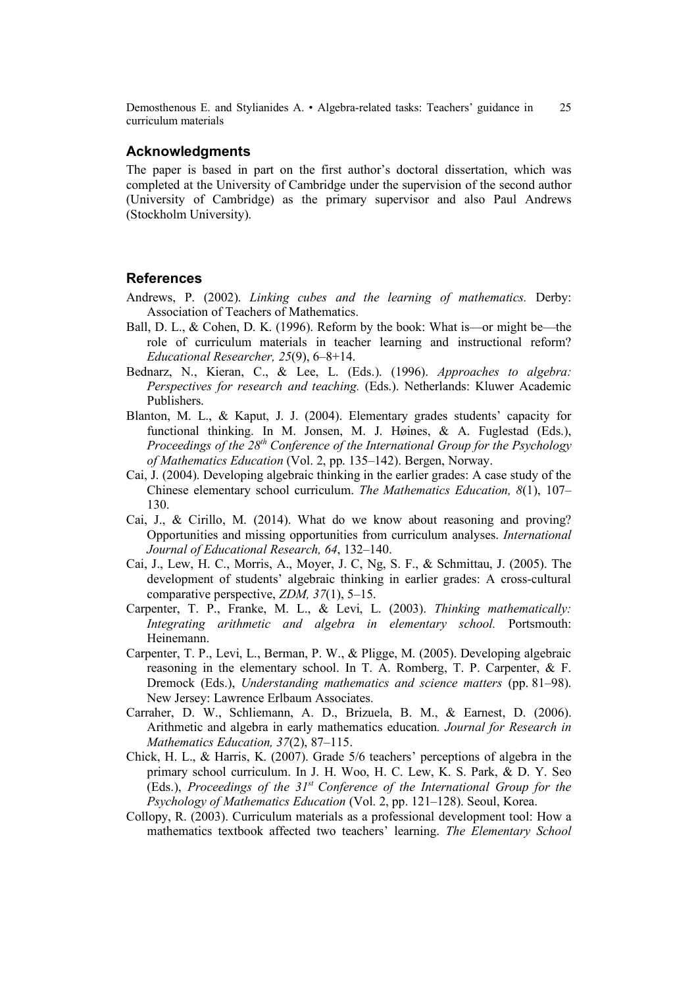## **Acknowledgments**

The paper is based in part on the first author's doctoral dissertation, which was completed at the University of Cambridge under the supervision of the second author (University of Cambridge) as the primary supervisor and also Paul Andrews (Stockholm University).

#### **References**

- Andrews, P. (2002). *Linking cubes and the learning of mathematics.* Derby: Association of Teachers of Mathematics.
- Ball, D. L., & Cohen, D. K. (1996). Reform by the book: What is—or might be—the role of curriculum materials in teacher learning and instructional reform? *Educational Researcher, 25*(9), 6–8+14.
- Bednarz, N., Kieran, C., & Lee, L. (Eds.). (1996). *Approaches to algebra: Perspectives for research and teaching.* (Eds.). Netherlands: Kluwer Academic Publishers.
- Blanton, M. L., & Kaput, J. J. (2004). Elementary grades students' capacity for functional thinking. In M. Jonsen, M. J. Høines, & A. Fuglestad (Eds.), *Proceedings of the 28th Conference of the International Group for the Psychology of Mathematics Education* (Vol. 2, pp. 135–142). Bergen, Norway.
- Cai, J. (2004). Developing algebraic thinking in the earlier grades: A case study of the Chinese elementary school curriculum. *The Mathematics Education, 8*(1), 107– 130.
- Cai, J., & Cirillo, M. (2014). What do we know about reasoning and proving? Opportunities and missing opportunities from curriculum analyses. *International Journal of Educational Research, 64*, 132–140.
- Cai, J., Lew, H. C., Morris, A., Moyer, J. C, Ng, S. F., & Schmittau, J. (2005). The development of students' algebraic thinking in earlier grades: A cross-cultural comparative perspective, *ZDM, 37*(1), 5–15.
- Carpenter, T. P., Franke, M. L., & Levi, L. (2003). *Thinking mathematically: Integrating arithmetic and algebra in elementary school.* Portsmouth: Heinemann.
- Carpenter, T. P., Levi, L., Berman, P. W., & Pligge, M. (2005). Developing algebraic reasoning in the elementary school. In T. A. Romberg, T. P. Carpenter, & F. Dremock (Eds.), *Understanding mathematics and science matters* (pp. 81–98). New Jersey: Lawrence Erlbaum Associates.
- Carraher, D. W., Schliemann, A. D., Brizuela, B. M., & Earnest, D. (2006). Arithmetic and algebra in early mathematics education*. Journal for Research in Mathematics Education, 37*(2), 87–115.
- Chick, H. L., & Harris, K. (2007). Grade 5/6 teachers' perceptions of algebra in the primary school curriculum. In J. H. Woo, H. C. Lew, K. S. Park, & D. Y. Seo (Eds.), *Proceedings of the 31st Conference of the International Group for the Psychology of Mathematics Education* (Vol. 2, pp. 121–128). Seoul, Korea.
- Collopy, R. (2003). Curriculum materials as a professional development tool: How a mathematics textbook affected two teachers' learning. *The Elementary School*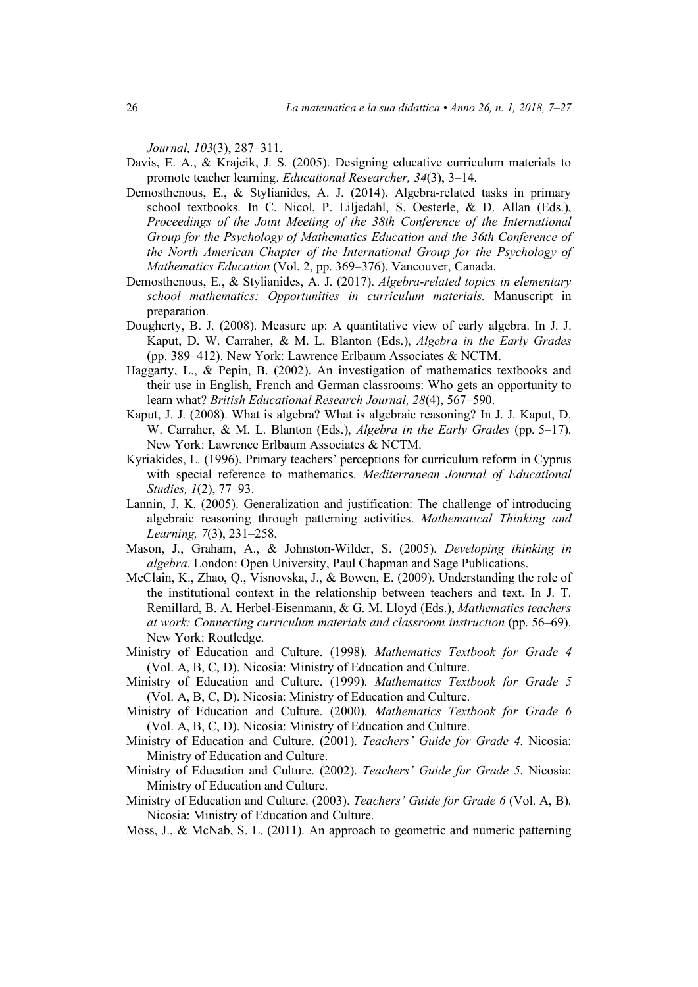*Journal, 103*(3), 287–311.

- Davis, E. A., & Krajcik, J. S. (2005). Designing educative curriculum materials to promote teacher learning. *Educational Researcher, 34*(3), 3–14.
- Demosthenous, E., & Stylianides, A. J. (2014). Algebra-related tasks in primary school textbooks. In C. Nicol, P. Liljedahl, S. Oesterle, & D. Allan (Eds.), *Proceedings of the Joint Meeting of the 38th Conference of the International Group for the Psychology of Mathematics Education and the 36th Conference of the North American Chapter of the International Group for the Psychology of Mathematics Education* (Vol. 2, pp. 369–376). Vancouver, Canada.
- Demosthenous, E., & Stylianides, A. J. (2017). *Algebra-related topics in elementary school mathematics: Opportunities in curriculum materials.* Manuscript in preparation.
- Dougherty, B. J. (2008). Measure up: A quantitative view of early algebra. In J. J. Kaput, D. W. Carraher, & M. L. Blanton (Eds.), *Algebra in the Early Grades* (pp. 389–412). New York: Lawrence Erlbaum Associates & NCTM.
- Haggarty, L., & Pepin, B. (2002). An investigation of mathematics textbooks and their use in English, French and German classrooms: Who gets an opportunity to learn what? *British Educational Research Journal, 28*(4), 567–590.
- Kaput, J. J. (2008). What is algebra? What is algebraic reasoning? In J. J. Kaput, D. W. Carraher, & M. L. Blanton (Eds.), *Algebra in the Early Grades* (pp. 5–17). New York: Lawrence Erlbaum Associates & NCTM.
- Kyriakides, L. (1996). Primary teachers' perceptions for curriculum reform in Cyprus with special reference to mathematics. *Mediterranean Journal of Educational Studies, 1*(2), 77–93.
- Lannin, J. K. (2005). Generalization and justification: The challenge of introducing algebraic reasoning through patterning activities. *Mathematical Thinking and Learning, 7*(3), 231–258.
- Mason, J., Graham, A., & Johnston-Wilder, S. (2005). *Developing thinking in algebra*. London: Open University, Paul Chapman and Sage Publications.
- McClain, K., Zhao, Q., Visnovska, J., & Bowen, E. (2009). Understanding the role of the institutional context in the relationship between teachers and text. In J. T. Remillard, B. A. Herbel-Eisenmann, & G. M. Lloyd (Eds.), *Mathematics teachers at work: Connecting curriculum materials and classroom instruction* (pp. 56–69). New York: Routledge.
- Ministry of Education and Culture. (1998). *Mathematics Textbook for Grade 4* (Vol. A, B, C, D). Nicosia: Ministry of Education and Culture.
- Ministry of Education and Culture. (1999). *Mathematics Textbook for Grade 5* (Vol. A, B, C, D). Nicosia: Ministry of Education and Culture.
- Ministry of Education and Culture. (2000). *Mathematics Textbook for Grade 6* (Vol. A, B, C, D). Nicosia: Ministry of Education and Culture.
- Ministry of Education and Culture. (2001). *Teachers' Guide for Grade 4*. Nicosia: Ministry of Education and Culture.
- Ministry of Education and Culture. (2002). *Teachers' Guide for Grade 5*. Nicosia: Ministry of Education and Culture.
- Ministry of Education and Culture. (2003). *Teachers' Guide for Grade 6* (Vol. A, B). Nicosia: Ministry of Education and Culture.
- Moss, J., & McNab, S. L. (2011). An approach to geometric and numeric patterning